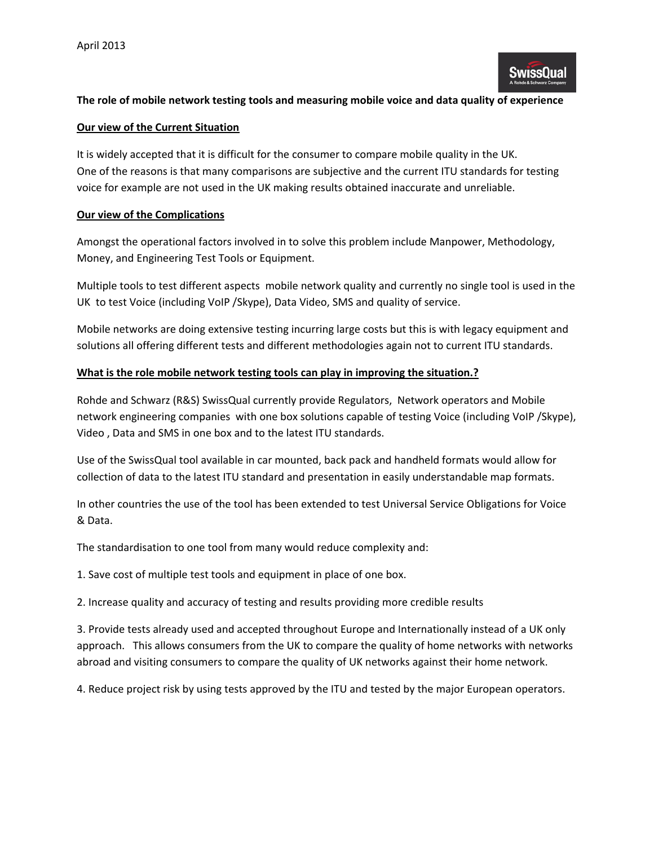# **The role of mobile network testing tools and measuring mobile voice and data quality of experience**

#### **Our view of the Current Situation**

It is widely accepted that it is difficult for the consumer to compare mobile quality in the UK. One of the reasons is that many comparisons are subjective and the current ITU standards for testing voice for example are not used in the UK making results obtained inaccurate and unreliable.

### **Our view of the Complications**

Amongst the operational factors involved in to solve this problem include Manpower, Methodology, Money, and Engineering Test Tools or Equipment.

Multiple tools to test different aspects mobile network quality and currently no single tool is used in the UK to test Voice (including VoIP /Skype), Data Video, SMS and quality of service.

Mobile networks are doing extensive testing incurring large costs but this is with legacy equipment and solutions all offering different tests and different methodologies again not to current ITU standards.

## **What is the role mobile network testing tools can play in improving the situation.?**

Rohde and Schwarz (R&S) SwissQual currently provide Regulators, Network operators and Mobile network engineering companies with one box solutions capable of testing Voice (including VoIP /Skype), Video , Data and SMS in one box and to the latest ITU standards.

Use of the SwissQual tool available in car mounted, back pack and handheld formats would allow for collection of data to the latest ITU standard and presentation in easily understandable map formats.

In other countries the use of the tool has been extended to test Universal Service Obligations for Voice & Data.

The standardisation to one tool from many would reduce complexity and:

1. Save cost of multiple test tools and equipment in place of one box.

2. Increase quality and accuracy of testing and results providing more credible results

3. Provide tests already used and accepted throughout Europe and Internationally instead of a UK only approach. This allows consumers from the UK to compare the quality of home networks with networks abroad and visiting consumers to compare the quality of UK networks against their home network.

4. Reduce project risk by using tests approved by the ITU and tested by the major European operators.